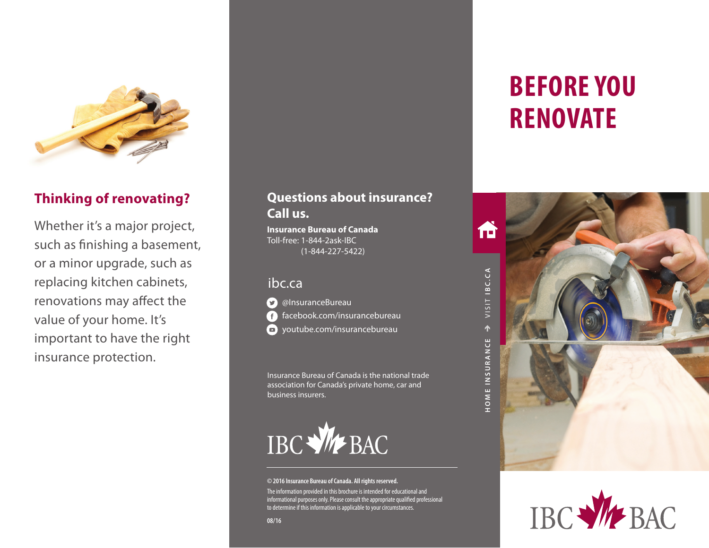

# **Thinking of renovating?**

Whether it's a major project, such as finishing a basement, or a minor upgrade, such as replacing kitchen cabinets, renovations may affect the value of your home. It's important to have the right insurance protection.

# **Questions about insurance? Call us.**

**Insurance Bureau of Canada** Toll-free: 1-844-2ask-IBC (1-844-227-5422)

## ibc.ca



facebook.com/insurancebureau **D** youtube.com/insurancebureau

Insurance Bureau of Canada is the national trade association for Canada's private home, car and business insurers.



#### **© 2016 Insurance Bureau of Canada. All rights reserved.**

The information provided in this brochure is intended for educational and informational purposes only. Please consult the appropriate qualified professional to determine if this information is applicable to your circumstances.

#### **08/16**

# **BEFORE YOU RENOVATE**